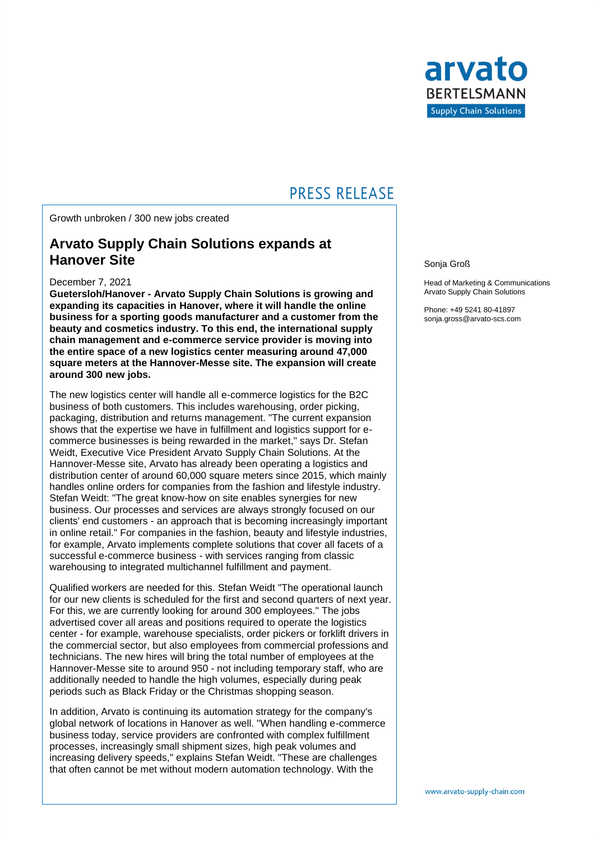

## **PRESS RELEASE**

Growth unbroken / 300 new jobs created

### **Arvato Supply Chain Solutions expands at Hanover Site**

#### December 7, 2021

**Guetersloh/Hanover - Arvato Supply Chain Solutions is growing and expanding its capacities in Hanover, where it will handle the online business for a sporting goods manufacturer and a customer from the beauty and cosmetics industry. To this end, the international supply chain management and e-commerce service provider is moving into the entire space of a new logistics center measuring around 47,000 square meters at the Hannover-Messe site. The expansion will create around 300 new jobs.**

The new logistics center will handle all e-commerce logistics for the B2C business of both customers. This includes warehousing, order picking, packaging, distribution and returns management. "The current expansion shows that the expertise we have in fulfillment and logistics support for ecommerce businesses is being rewarded in the market," says Dr. Stefan Weidt, Executive Vice President Arvato Supply Chain Solutions. At the Hannover-Messe site, Arvato has already been operating a logistics and distribution center of around 60,000 square meters since 2015, which mainly handles online orders for companies from the fashion and lifestyle industry. Stefan Weidt: "The great know-how on site enables synergies for new business. Our processes and services are always strongly focused on our clients' end customers - an approach that is becoming increasingly important in online retail." For companies in the fashion, beauty and lifestyle industries, for example, Arvato implements complete solutions that cover all facets of a successful e-commerce business - with services ranging from classic warehousing to integrated multichannel fulfillment and payment.

Qualified workers are needed for this. Stefan Weidt "The operational launch for our new clients is scheduled for the first and second quarters of next year. For this, we are currently looking for around 300 employees." The jobs advertised cover all areas and positions required to operate the logistics center - for example, warehouse specialists, order pickers or forklift drivers in the commercial sector, but also employees from commercial professions and technicians. The new hires will bring the total number of employees at the Hannover-Messe site to around 950 - not including temporary staff, who are additionally needed to handle the high volumes, especially during peak periods such as Black Friday or the Christmas shopping season.

In addition, Arvato is continuing its automation strategy for the company's global network of locations in Hanover as well. "When handling e-commerce business today, service providers are confronted with complex fulfillment processes, increasingly small shipment sizes, high peak volumes and increasing delivery speeds," explains Stefan Weidt. "These are challenges that often cannot be met without modern automation technology. With the

Sonja Groß

Head of Marketing & Communications Arvato Supply Chain Solutions

Phone: +49 5241 80-41897 sonja.gross@arvato-scs.com